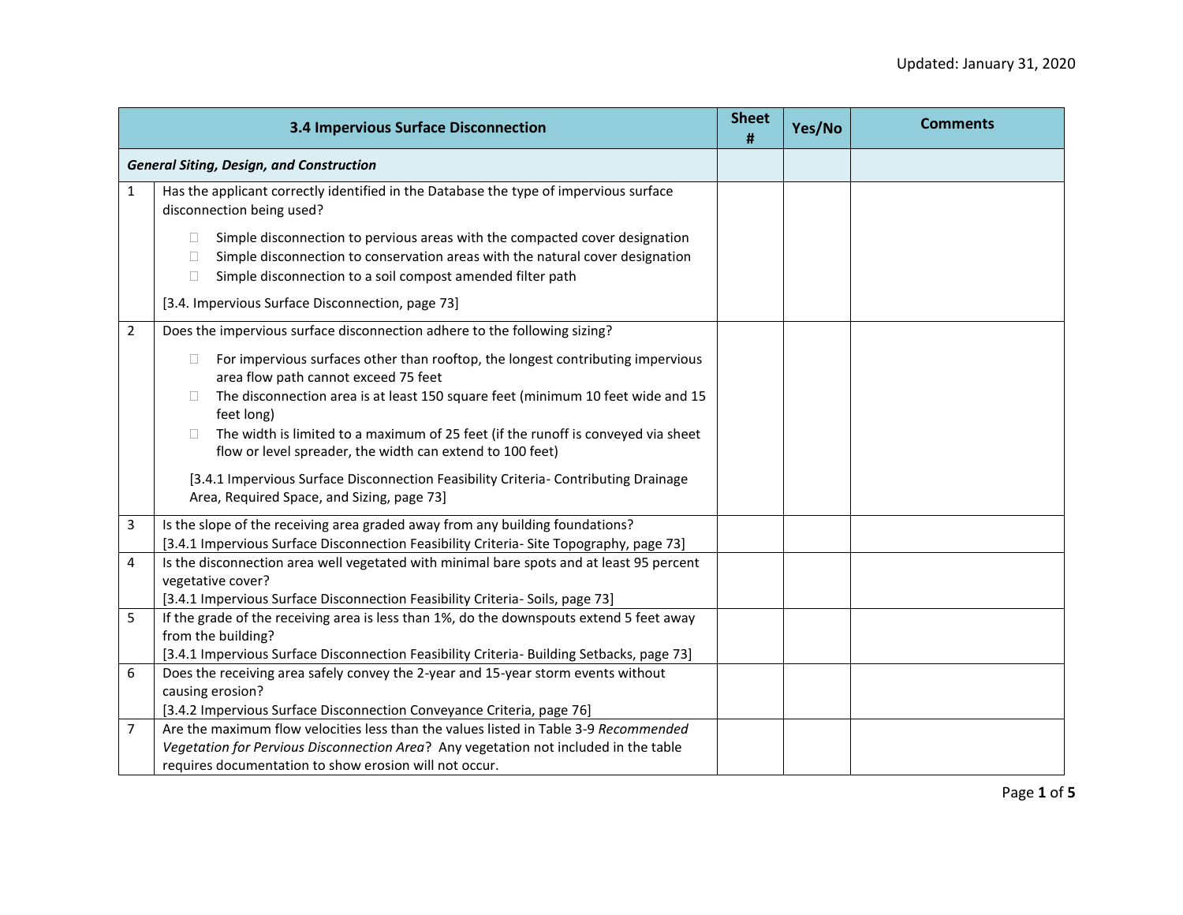| 3.4 Impervious Surface Disconnection            |                                                                                                                                                                                                                                                                                                                                                                                                                          | <b>Sheet</b><br># | Yes/No | <b>Comments</b> |  |
|-------------------------------------------------|--------------------------------------------------------------------------------------------------------------------------------------------------------------------------------------------------------------------------------------------------------------------------------------------------------------------------------------------------------------------------------------------------------------------------|-------------------|--------|-----------------|--|
| <b>General Siting, Design, and Construction</b> |                                                                                                                                                                                                                                                                                                                                                                                                                          |                   |        |                 |  |
| 1                                               | Has the applicant correctly identified in the Database the type of impervious surface<br>disconnection being used?<br>Simple disconnection to pervious areas with the compacted cover designation<br>$\Box$<br>Simple disconnection to conservation areas with the natural cover designation<br>□<br>Simple disconnection to a soil compost amended filter path<br>□<br>[3.4. Impervious Surface Disconnection, page 73] |                   |        |                 |  |
| 2                                               | Does the impervious surface disconnection adhere to the following sizing?                                                                                                                                                                                                                                                                                                                                                |                   |        |                 |  |
|                                                 | For impervious surfaces other than rooftop, the longest contributing impervious<br>□<br>area flow path cannot exceed 75 feet<br>The disconnection area is at least 150 square feet (minimum 10 feet wide and 15<br>П<br>feet long)<br>The width is limited to a maximum of 25 feet (if the runoff is conveyed via sheet<br>$\Box$<br>flow or level spreader, the width can extend to 100 feet)                           |                   |        |                 |  |
|                                                 | [3.4.1 Impervious Surface Disconnection Feasibility Criteria- Contributing Drainage<br>Area, Required Space, and Sizing, page 73]                                                                                                                                                                                                                                                                                        |                   |        |                 |  |
| 3                                               | Is the slope of the receiving area graded away from any building foundations?<br>[3.4.1 Impervious Surface Disconnection Feasibility Criteria- Site Topography, page 73]                                                                                                                                                                                                                                                 |                   |        |                 |  |
| 4                                               | Is the disconnection area well vegetated with minimal bare spots and at least 95 percent<br>vegetative cover?<br>[3.4.1 Impervious Surface Disconnection Feasibility Criteria-Soils, page 73]                                                                                                                                                                                                                            |                   |        |                 |  |
| 5                                               | If the grade of the receiving area is less than 1%, do the downspouts extend 5 feet away<br>from the building?<br>[3.4.1 Impervious Surface Disconnection Feasibility Criteria- Building Setbacks, page 73]                                                                                                                                                                                                              |                   |        |                 |  |
| 6                                               | Does the receiving area safely convey the 2-year and 15-year storm events without<br>causing erosion?<br>[3.4.2 Impervious Surface Disconnection Conveyance Criteria, page 76]                                                                                                                                                                                                                                           |                   |        |                 |  |
| $\overline{7}$                                  | Are the maximum flow velocities less than the values listed in Table 3-9 Recommended<br>Vegetation for Pervious Disconnection Area? Any vegetation not included in the table<br>requires documentation to show erosion will not occur.                                                                                                                                                                                   |                   |        |                 |  |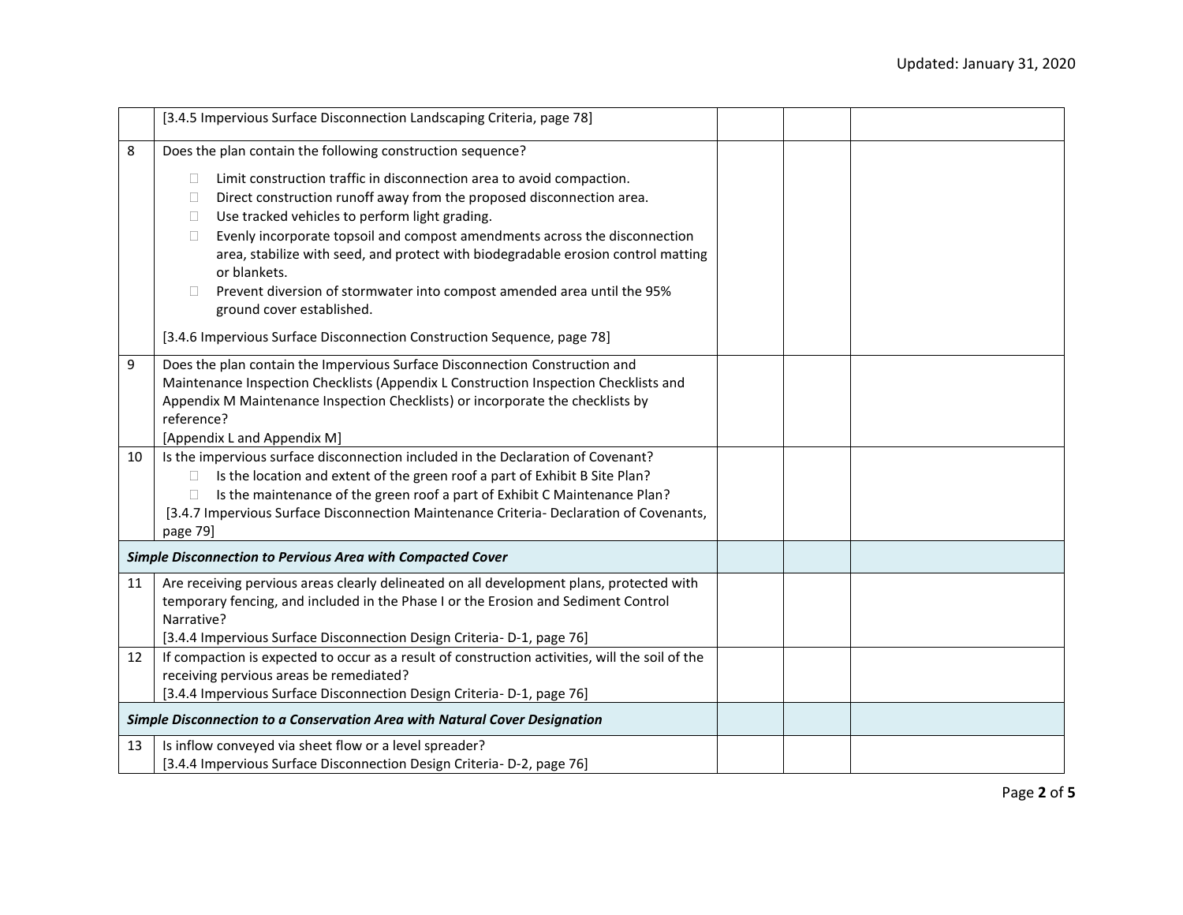|    | [3.4.5 Impervious Surface Disconnection Landscaping Criteria, page 78]                                                                                                                                                                                                                                                                                                                                                                                                                                                                                                                                                                                                  |  |  |
|----|-------------------------------------------------------------------------------------------------------------------------------------------------------------------------------------------------------------------------------------------------------------------------------------------------------------------------------------------------------------------------------------------------------------------------------------------------------------------------------------------------------------------------------------------------------------------------------------------------------------------------------------------------------------------------|--|--|
| 8  | Does the plan contain the following construction sequence?<br>Limit construction traffic in disconnection area to avoid compaction.<br>$\Box$<br>Direct construction runoff away from the proposed disconnection area.<br>□<br>Use tracked vehicles to perform light grading.<br>$\Box$<br>Evenly incorporate topsoil and compost amendments across the disconnection<br>$\Box$<br>area, stabilize with seed, and protect with biodegradable erosion control matting<br>or blankets.<br>Prevent diversion of stormwater into compost amended area until the 95%<br>ground cover established.<br>[3.4.6 Impervious Surface Disconnection Construction Sequence, page 78] |  |  |
| 9  | Does the plan contain the Impervious Surface Disconnection Construction and<br>Maintenance Inspection Checklists (Appendix L Construction Inspection Checklists and<br>Appendix M Maintenance Inspection Checklists) or incorporate the checklists by<br>reference?<br>[Appendix L and Appendix M]                                                                                                                                                                                                                                                                                                                                                                      |  |  |
| 10 | Is the impervious surface disconnection included in the Declaration of Covenant?<br>Is the location and extent of the green roof a part of Exhibit B Site Plan?<br>$\Box$<br>Is the maintenance of the green roof a part of Exhibit C Maintenance Plan?<br>$\Box$<br>[3.4.7 Impervious Surface Disconnection Maintenance Criteria- Declaration of Covenants,<br>page 79]                                                                                                                                                                                                                                                                                                |  |  |
|    | <b>Simple Disconnection to Pervious Area with Compacted Cover</b>                                                                                                                                                                                                                                                                                                                                                                                                                                                                                                                                                                                                       |  |  |
| 11 | Are receiving pervious areas clearly delineated on all development plans, protected with<br>temporary fencing, and included in the Phase I or the Erosion and Sediment Control<br>Narrative?<br>[3.4.4 Impervious Surface Disconnection Design Criteria- D-1, page 76]                                                                                                                                                                                                                                                                                                                                                                                                  |  |  |
| 12 | If compaction is expected to occur as a result of construction activities, will the soil of the<br>receiving pervious areas be remediated?<br>[3.4.4 Impervious Surface Disconnection Design Criteria- D-1, page 76]                                                                                                                                                                                                                                                                                                                                                                                                                                                    |  |  |
|    | Simple Disconnection to a Conservation Area with Natural Cover Designation                                                                                                                                                                                                                                                                                                                                                                                                                                                                                                                                                                                              |  |  |
| 13 | Is inflow conveyed via sheet flow or a level spreader?<br>[3.4.4 Impervious Surface Disconnection Design Criteria- D-2, page 76]                                                                                                                                                                                                                                                                                                                                                                                                                                                                                                                                        |  |  |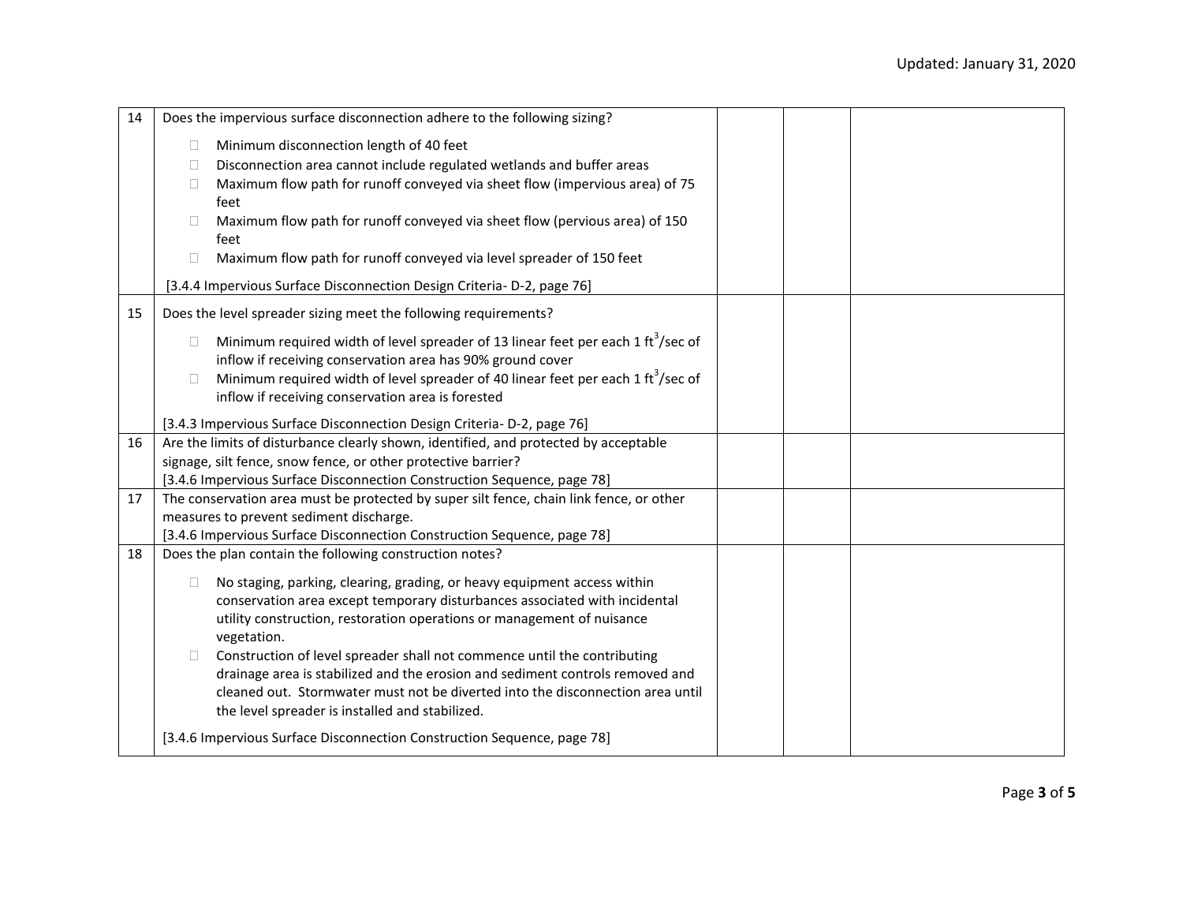| 14 | Does the impervious surface disconnection adhere to the following sizing?                                          |
|----|--------------------------------------------------------------------------------------------------------------------|
|    | Minimum disconnection length of 40 feet<br>$\Box$                                                                  |
|    | Disconnection area cannot include regulated wetlands and buffer areas<br>$\Box$                                    |
|    | Maximum flow path for runoff conveyed via sheet flow (impervious area) of 75<br>⊔                                  |
|    | feet                                                                                                               |
|    | Maximum flow path for runoff conveyed via sheet flow (pervious area) of 150<br>П                                   |
|    | feet                                                                                                               |
|    | Maximum flow path for runoff conveyed via level spreader of 150 feet<br>П                                          |
|    | [3.4.4 Impervious Surface Disconnection Design Criteria- D-2, page 76]                                             |
| 15 | Does the level spreader sizing meet the following requirements?                                                    |
|    | Minimum required width of level spreader of 13 linear feet per each 1 ft <sup>3</sup> /sec of<br>□                 |
|    | inflow if receiving conservation area has 90% ground cover                                                         |
|    | Minimum required width of level spreader of 40 linear feet per each 1 ft <sup>3</sup> /sec of<br>П                 |
|    | inflow if receiving conservation area is forested                                                                  |
|    | [3.4.3 Impervious Surface Disconnection Design Criteria- D-2, page 76]                                             |
| 16 | Are the limits of disturbance clearly shown, identified, and protected by acceptable                               |
|    | signage, silt fence, snow fence, or other protective barrier?                                                      |
|    | [3.4.6 Impervious Surface Disconnection Construction Sequence, page 78]                                            |
| 17 | The conservation area must be protected by super silt fence, chain link fence, or other                            |
|    | measures to prevent sediment discharge.<br>[3.4.6 Impervious Surface Disconnection Construction Sequence, page 78] |
| 18 | Does the plan contain the following construction notes?                                                            |
|    |                                                                                                                    |
|    | No staging, parking, clearing, grading, or heavy equipment access within<br>$\Box$                                 |
|    | conservation area except temporary disturbances associated with incidental                                         |
|    | utility construction, restoration operations or management of nuisance<br>vegetation.                              |
|    | Construction of level spreader shall not commence until the contributing<br>$\Box$                                 |
|    | drainage area is stabilized and the erosion and sediment controls removed and                                      |
|    | cleaned out. Stormwater must not be diverted into the disconnection area until                                     |
|    | the level spreader is installed and stabilized.                                                                    |
|    | [3.4.6 Impervious Surface Disconnection Construction Sequence, page 78]                                            |
|    |                                                                                                                    |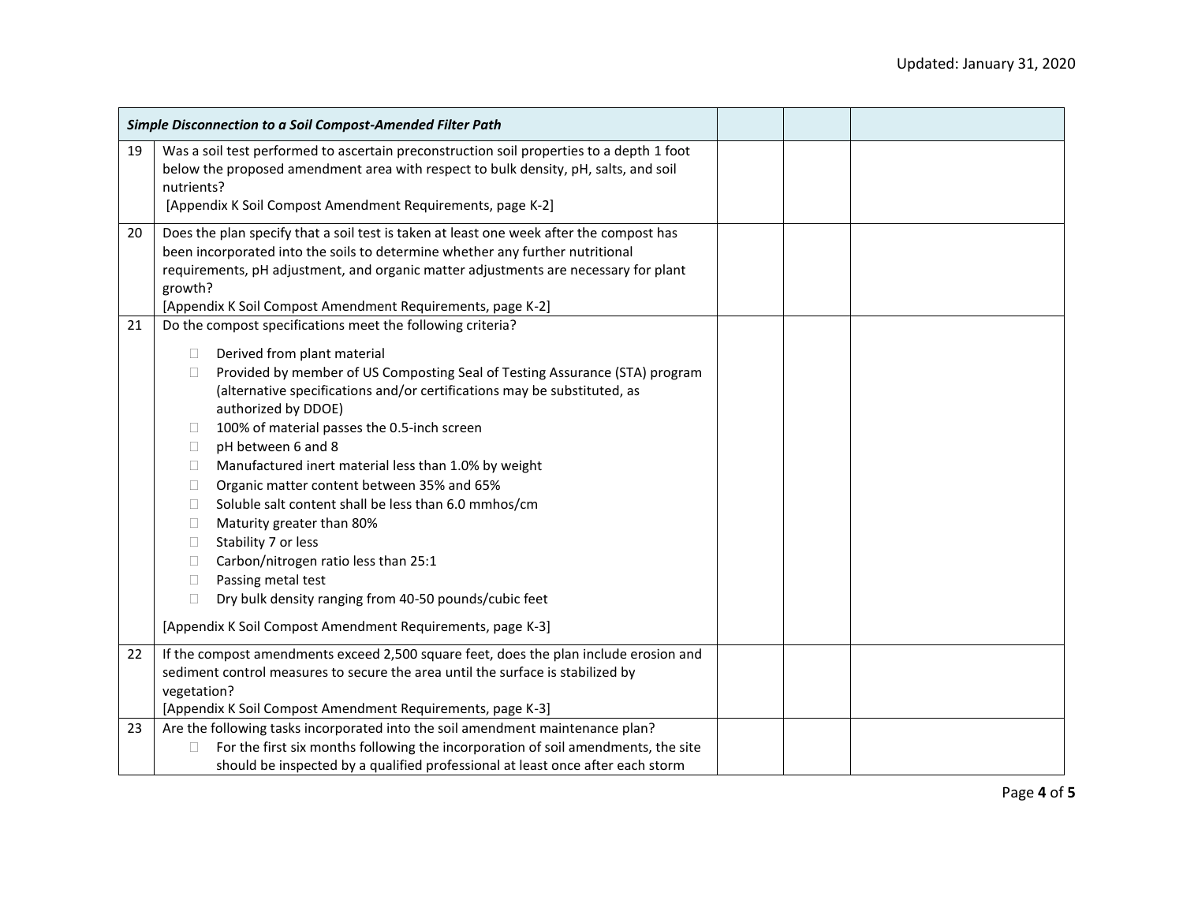|    | Simple Disconnection to a Soil Compost-Amended Filter Path                                                                                                                                                                                                                                                                                                                                                                                                                                                                                                                                                                                                                                                                                                                                                                                                  |  |  |
|----|-------------------------------------------------------------------------------------------------------------------------------------------------------------------------------------------------------------------------------------------------------------------------------------------------------------------------------------------------------------------------------------------------------------------------------------------------------------------------------------------------------------------------------------------------------------------------------------------------------------------------------------------------------------------------------------------------------------------------------------------------------------------------------------------------------------------------------------------------------------|--|--|
| 19 | Was a soil test performed to ascertain preconstruction soil properties to a depth 1 foot<br>below the proposed amendment area with respect to bulk density, pH, salts, and soil<br>nutrients?<br>[Appendix K Soil Compost Amendment Requirements, page K-2]                                                                                                                                                                                                                                                                                                                                                                                                                                                                                                                                                                                                 |  |  |
| 20 | Does the plan specify that a soil test is taken at least one week after the compost has<br>been incorporated into the soils to determine whether any further nutritional<br>requirements, pH adjustment, and organic matter adjustments are necessary for plant<br>growth?<br>[Appendix K Soil Compost Amendment Requirements, page K-2]                                                                                                                                                                                                                                                                                                                                                                                                                                                                                                                    |  |  |
| 21 | Do the compost specifications meet the following criteria?<br>Derived from plant material<br>$\Box$<br>Provided by member of US Composting Seal of Testing Assurance (STA) program<br>П<br>(alternative specifications and/or certifications may be substituted, as<br>authorized by DDOE)<br>100% of material passes the 0.5-inch screen<br>□<br>pH between 6 and 8<br>$\Box$<br>Manufactured inert material less than 1.0% by weight<br>$\Box$<br>Organic matter content between 35% and 65%<br>$\Box$<br>Soluble salt content shall be less than 6.0 mmhos/cm<br>П<br>Maturity greater than 80%<br>П<br>Stability 7 or less<br>$\Box$<br>Carbon/nitrogen ratio less than 25:1<br>$\Box$<br>Passing metal test<br>$\Box$<br>Dry bulk density ranging from 40-50 pounds/cubic feet<br>$\Box$<br>[Appendix K Soil Compost Amendment Requirements, page K-3] |  |  |
| 22 | If the compost amendments exceed 2,500 square feet, does the plan include erosion and<br>sediment control measures to secure the area until the surface is stabilized by<br>vegetation?<br>[Appendix K Soil Compost Amendment Requirements, page K-3]                                                                                                                                                                                                                                                                                                                                                                                                                                                                                                                                                                                                       |  |  |
| 23 | Are the following tasks incorporated into the soil amendment maintenance plan?<br>For the first six months following the incorporation of soil amendments, the site<br>$\Box$<br>should be inspected by a qualified professional at least once after each storm                                                                                                                                                                                                                                                                                                                                                                                                                                                                                                                                                                                             |  |  |